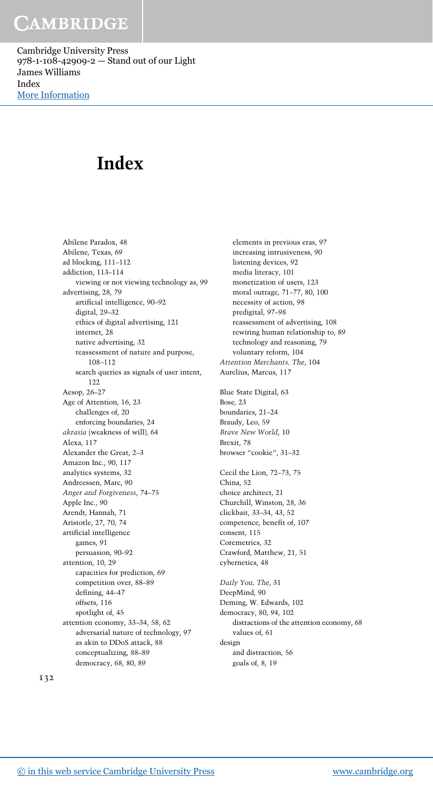## CAMBRIDGE

Cambridge University Press 978-1-108-42909-2 — Stand out of our Light James Williams Index [More Information](www.cambridge.org/9781108429092)

# **Index**

Abilene Paradox, 48 Abilene, Texas, 69 ad blocking, 111–112 addiction, 113–114 viewing or not viewing technology as, 99 advertising, 28, 79 artificial intelligence, 90–92 digital, 29–32 ethics of digital advertising, 121 internet, 28 native advertising, 32 reassessment of nature and purpose, 108–112 search queries as signals of user intent, 122 Aesop, 26–27 Age of Attention, 16, 23 challenges of, 20 enforcing boundaries, 24 *akrasia* (weakness of will), 64 Alexa, 117 Alexander the Great, 2–3 Amazon Inc., 90, 117 analytics systems, 32 Andreessen, Marc, 90 *Anger and Forgiveness*, 74–75 Apple Inc., 90 Arendt, Hannah, 71 Aristotle, 27, 70, 74 artificial intelligence games, 91 persuasion, 90–92 attention, 10, 29 capacities for prediction, 69 competition over, 88–89 defining, 44–47 offsets, 116 spotlight of, 45 attention economy, 33–34, 58, 62 adversarial nature of technology, 97 as akin to DDoS attack, 88 conceptualizing, 88–89 democracy, 68, 80, 89

elements in previous eras, 97 increasing intrusiveness, 90 listening devices, 92 media literacy, 101 monetization of users, 123 moral outrage, 71–77, 80, 100 necessity of action, 98 predigital, 97–98 reassessment of advertising, 108 rewiring human relationship to, 89 technology and reasoning, 79 voluntary reform, 104 *Attention Merchants, The*, 104 Aurelius, Marcus, 117 Blue State Digital, 63 Bose, 23 boundaries, 21–24 Braudy, Leo, 59 *Brave New World*, 10 Brexit, 78 browser "cookie", 31–32 Cecil the Lion, 72–73, 75 China, 52 choice architect, 21 Churchill, Winston, 28, 36 clickbait, 33–34, 43, 52 competence, benefit of, 107 consent, 115 Coremetrics, 32 Crawford, Matthew, 21, 51 cybernetics, 48 *Daily You, The*, 31 DeepMind, 90 Deming, W. Edwards, 102 democracy, 80, 94, 102 distractions of the attention economy, 68 values of, 61 design and distraction, 56 goals of, 8, 19

132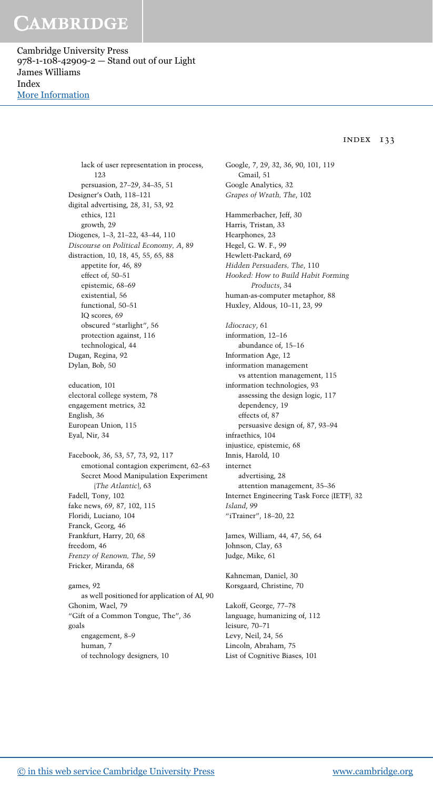## CAMBRIDGE

Cambridge University Press 978-1-108-42909-2 — Stand out of our Light James Williams Index [More Information](www.cambridge.org/9781108429092)

### INDEX 133

lack of user representation in process, 123 persuasion, 27–29, 34–35, 51 Designer's Oath, 118–121 digital advertising, 28, 31, 53, 92 ethics, 121 growth, 29 Diogenes, 1–3, 21–22, 43–44, 110 *Discourse on Political Economy, A*, 89 distraction, 10, 18, 45, 55, 65, 88 appetite for, 46, 89 effect of, 50–51 epistemic, 68–69 existential, 56 functional, 50–51 IQ scores, 69 obscured "starlight", 56 protection against, 116 technological, 44 Dugan, Regina, 92 Dylan, Bob, 50 education, 101 electoral college system, 78 engagement metrics, 32 English, 36 European Union, 115 Eyal, Nir, 34 Facebook, 36, 53, 57, 73, 92, 117 emotional contagion experiment, 62–63 Secret Mood Manipulation Experiment (*The Atlantic*), 63 Fadell, Tony, 102 fake news, 69, 87, 102, 115 Floridi, Luciano, 104 Franck, Georg, 46 Frankfurt, Harry, 20, 68 freedom, 46 *Frenzy of Renown, The*, 59 Fricker, Miranda, 68 games, 92

as well positioned for application of AI, 90 Ghonim, Wael, 79 "Gift of a Common Tongue, The", 36 goals engagement, 8–9 human, 7 of technology designers, 10

Google, 7, 29, 32, 36, 90, 101, 119 Gmail, 51 Google Analytics, 32 *Grapes of Wrath, The*, 102 Hammerbacher, Jeff, 30 Harris, Tristan, 33 Hearphones, 23 Hegel, G. W. F., 99 Hewlett-Packard, 69 *Hidden Persuaders, The*, 110 *Hooked: How to Build Habit Forming Products*, 34 human-as-computer metaphor, 88 Huxley, Aldous, 10–11, 23, 99 *Idiocracy*, 61 information, 12–16 abundance of, 15–16 Information Age, 12 information management vs attention management, 115 information technologies, 93 assessing the design logic, 117 dependency, 19 effects of, 87 persuasive design of, 87, 93–94 infraethics, 104 injustice, epistemic, 68 Innis, Harold, 10 internet advertising, 28 attention management, 35–36 Internet Engineering Task Force (IETF), 32 *Island*, 99 "iTrainer", 18-20, 22

James, William, 44, 47, 56, 64 Johnson, Clay, 63 Judge, Mike, 61

Kahneman, Daniel, 30 Korsgaard, Christine, 70

Lakoff, George, 77–78 language, humanizing of, 112 leisure, 70–71 Levy, Neil, 24, 56 Lincoln, Abraham, 75 List of Cognitive Biases, 101